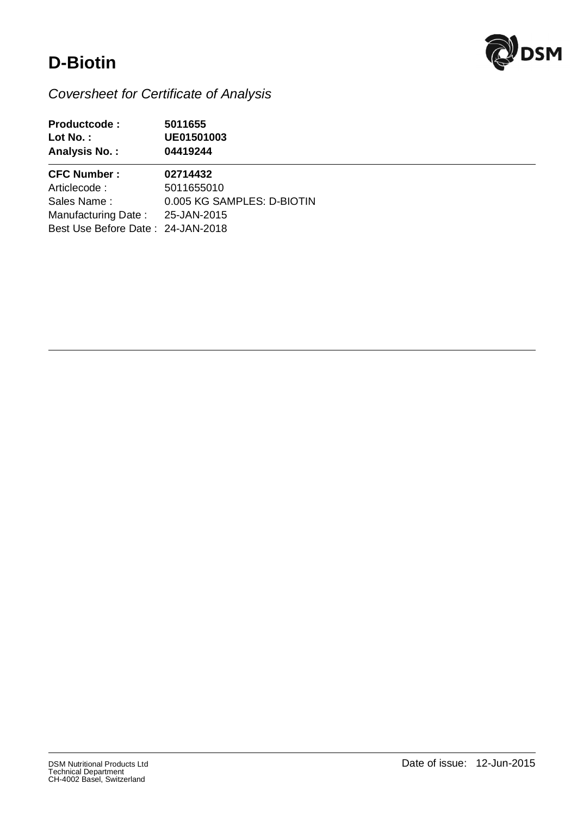

# **D-Biotin**

Comment :

### *Coversheet for Certificate of Analysis*

| Productcode:<br>$Lot No.$ :<br><b>Analysis No.:</b> | 5011655<br>UE01501003<br>04419244 |
|-----------------------------------------------------|-----------------------------------|
| <b>CFC Number:</b>                                  | 02714432                          |
| Articlecode:                                        | 5011655010                        |
| Sales Name:                                         | 0.005 KG SAMPLES: D-BIOTIN        |
| Manufacturing Date:                                 | 25-JAN-2015                       |
| Best Use Before Date: 24-JAN-2018                   |                                   |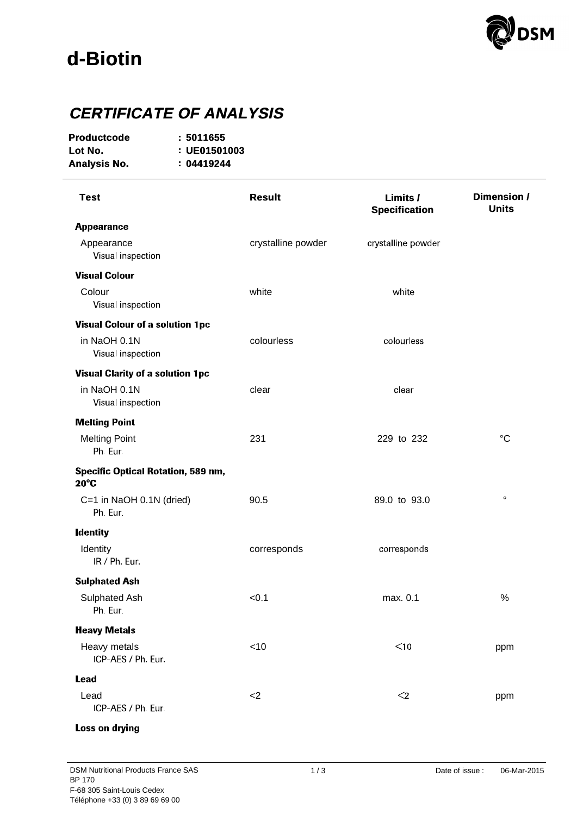

# **d-Biotin**

## **CERTIFICATE OF ANALYSIS**

| Productcode  | :5011655     |
|--------------|--------------|
| Lot No.      | : UE01501003 |
| Analysis No. | :04419244    |

| <b>Test</b>                                                 | <b>Result</b>      | Limits /<br><b>Specification</b> | Dimension /<br><b>Units</b> |
|-------------------------------------------------------------|--------------------|----------------------------------|-----------------------------|
| <b>Appearance</b>                                           |                    |                                  |                             |
| Appearance<br>Visual inspection                             | crystalline powder | crystalline powder               |                             |
| <b>Visual Colour</b>                                        |                    |                                  |                             |
| Colour<br>Visual inspection                                 | white              | white                            |                             |
| <b>Visual Colour of a solution 1pc</b>                      |                    |                                  |                             |
| in NaOH 0.1N<br>Visual inspection                           | colourless         | colourless                       |                             |
| <b>Visual Clarity of a solution 1pc</b>                     |                    |                                  |                             |
| in NaOH 0.1N<br>Visual inspection                           | clear              | clear                            |                             |
| <b>Melting Point</b>                                        |                    |                                  |                             |
| <b>Melting Point</b><br>Ph. Eur.                            | 231                | 229 to 232                       | $\rm ^{\circ}C$             |
| <b>Specific Optical Rotation, 589 nm,</b><br>$20^{\circ}$ C |                    |                                  |                             |
| C=1 in NaOH 0.1N (dried)<br>Ph. Eur.                        | 90.5               | 89.0 to 93.0                     | $\circ$                     |
| <b>Identity</b>                                             |                    |                                  |                             |
| Identity<br>IR / Ph. Eur.                                   | corresponds        | corresponds                      |                             |
| <b>Sulphated Ash</b>                                        |                    |                                  |                             |
| Sulphated Ash<br>Ph. Eur.                                   | < 0.1              | max. 0.1                         | $\%$                        |
| <b>Heavy Metals</b>                                         |                    |                                  |                             |
| Heavy metals<br>ICP-AES / Ph. Eur.                          | $<$ 10             | $<$ 10                           | ppm                         |
| <b>Lead</b>                                                 |                    |                                  |                             |
| Lead<br>ICP-AES / Ph. Eur.                                  | $<$ 2              | $<$ 2                            | ppm                         |
| Loss on drying                                              |                    |                                  |                             |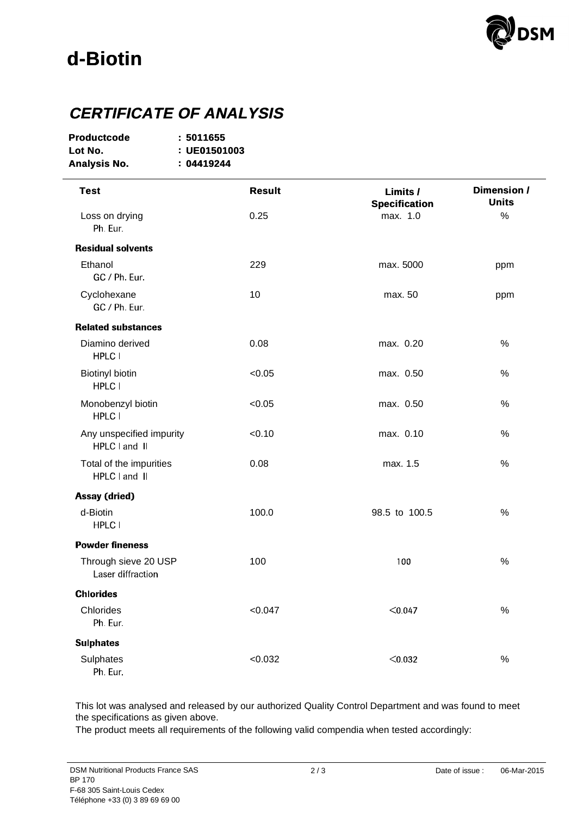

# **d-Biotin**

### **CERTIFICATE OF ANALYSIS**

| <b>Productcode</b>  | :5011655     |
|---------------------|--------------|
| Lot No.             | : UE01501003 |
| <b>Analysis No.</b> | : 04419244   |

| <b>Test</b>                               | <b>Result</b> | Limits /<br><b>Specification</b> | Dimension /<br><b>Units</b> |
|-------------------------------------------|---------------|----------------------------------|-----------------------------|
| Loss on drying<br>Ph. Eur.                | 0.25          | max. 1.0                         | $\frac{0}{0}$               |
| <b>Residual solvents</b>                  |               |                                  |                             |
| Ethanol<br>GC / Ph. Eur.                  | 229           | max. 5000                        | ppm                         |
| Cyclohexane<br>GC / Ph. Eur.              | 10            | max. 50                          | ppm                         |
| <b>Related substances</b>                 |               |                                  |                             |
| Diamino derived<br>HPLC I                 | 0.08          | max. 0.20                        | $\%$                        |
| <b>Biotinyl biotin</b><br><b>HPLC1</b>    | < 0.05        | max. 0.50                        | %                           |
| Monobenzyl biotin<br><b>HPLC1</b>         | < 0.05        | max. 0.50                        | $\%$                        |
| Any unspecified impurity<br>HPLC I and II | < 0.10        | max. 0.10                        | $\%$                        |
| Total of the impurities<br>HPLC I and II  | 0.08          | max. 1.5                         | $\%$                        |
| <b>Assay (dried)</b>                      |               |                                  |                             |
| d-Biotin<br><b>HPLC1</b>                  | 100.0         | 98.5 to 100.5                    | $\frac{0}{0}$               |
| <b>Powder fineness</b>                    |               |                                  |                             |
| Through sieve 20 USP<br>Laser diffraction | 100           | 100                              | $\%$                        |
| <b>Chlorides</b>                          |               |                                  |                             |
| Chlorides<br>Ph. Eur.                     | < 0.047       | < 0.047                          | $\%$                        |
| <b>Sulphates</b>                          |               |                                  |                             |
| Sulphates<br>Ph. Eur.                     | < 0.032       | < 0.032                          | $\%$                        |

This lot was analysed and released by our authorized Quality Control Department and was found to meet the specifications as given above.

The product meets all requirements of the following valid compendia when tested accordingly: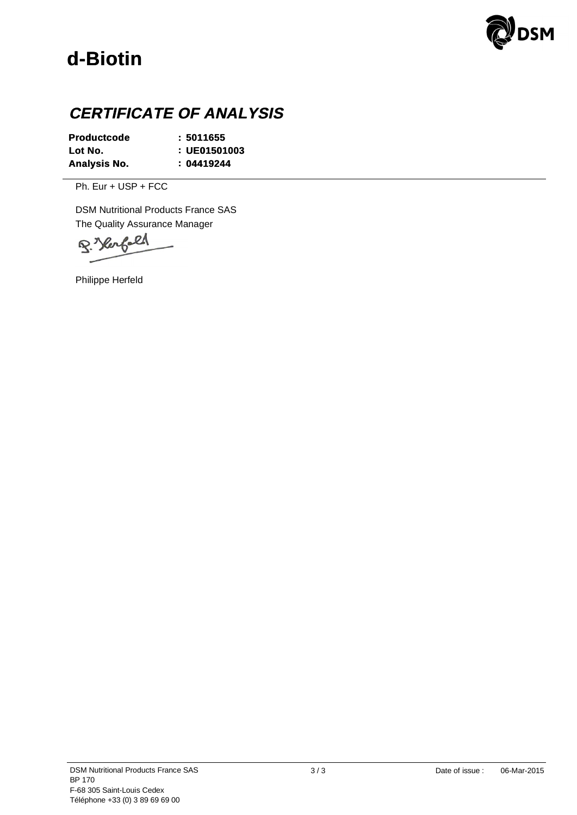

# **d-Biotin**

## **CERTIFICATE OF ANALYSIS**

| <b>Productcode</b> | : 5011655    |
|--------------------|--------------|
| Lot No.            | : UE01501003 |
| Analysis No.       | : 04419244   |

Ph. Eur + USP + FCC

The Quality Assurance Manager DSM Nutritional Products France SAS

R. Sleefald

Philippe Herfeld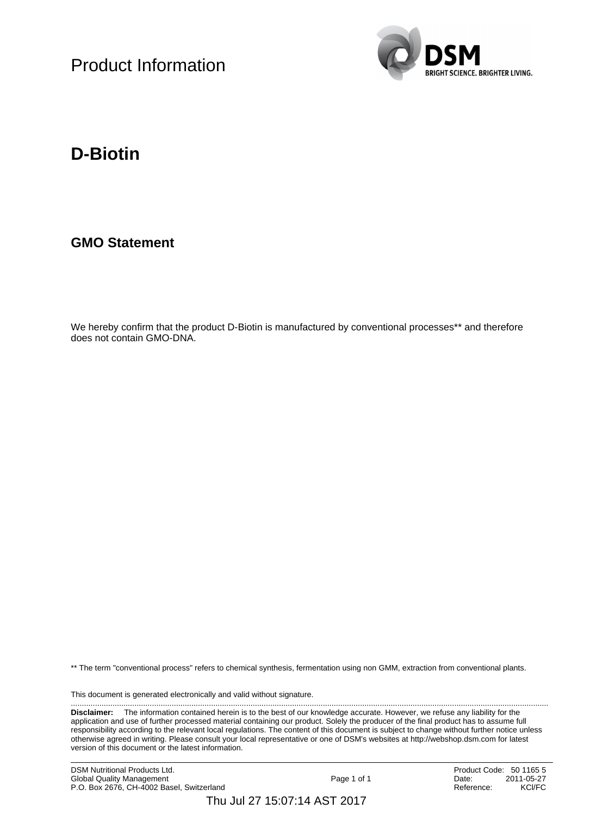Product Information



### **D-Biotin**

#### **GMO Statement**

We hereby confirm that the product D-Biotin is manufactured by conventional processes\*\* and therefore does not contain GMO-DNA.

\*\* The term "conventional process" refers to chemical synthesis, fermentation using non GMM, extraction from conventional plants.

This document is generated electronically and valid without signature.

**Disclaimer:** The information contained herein is to the best of our knowledge accurate. However, we refuse any liability for the application and use of further processed material containing our product. Solely the producer of the final product has to assume full responsibility according to the relevant local regulations. The content of this document is subject to change without further notice unless otherwise agreed in writing. Please consult your local representative or one of DSM's websites at http://webshop.dsm.com for latest version of this document or the latest information.

..........................................................................................................................................................................................................................